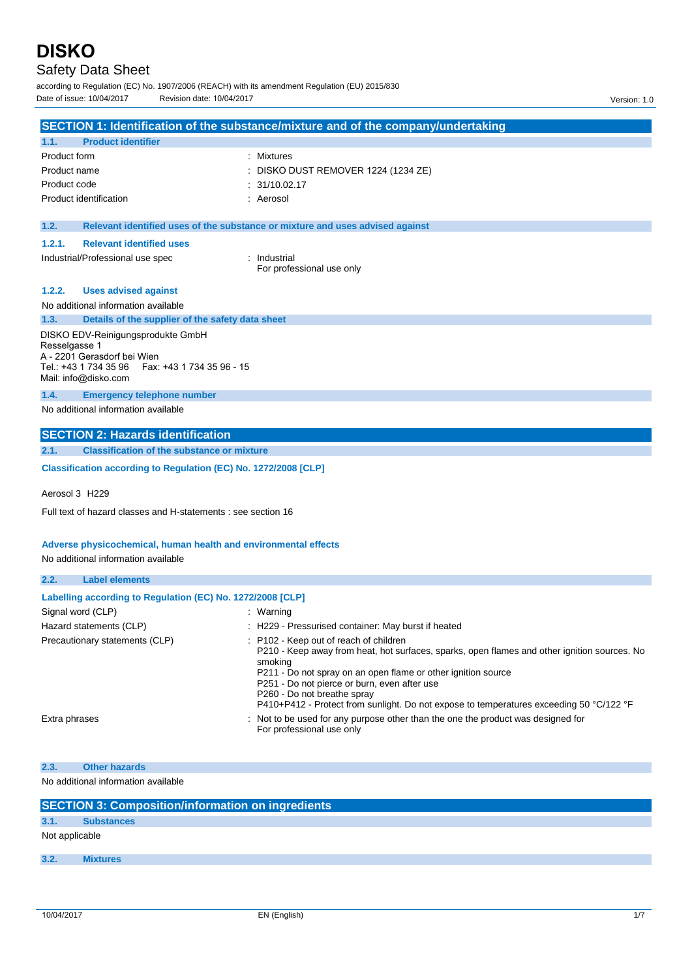# Safety Data Sheet

according to Regulation (EC) No. 1907/2006 (REACH) with its amendment Regulation (EU) 2015/830 Date of issue: 10/04/2017 Revision date: 10/04/2017 Version: 1.0

|                   |                                                                                   | SECTION 1: Identification of the substance/mixture and of the company/undertaking                                                                                                                                                                                                                 |
|-------------------|-----------------------------------------------------------------------------------|---------------------------------------------------------------------------------------------------------------------------------------------------------------------------------------------------------------------------------------------------------------------------------------------------|
| 1.1.              | <b>Product identifier</b>                                                         |                                                                                                                                                                                                                                                                                                   |
| Product form      |                                                                                   | : Mixtures                                                                                                                                                                                                                                                                                        |
| Product name      |                                                                                   | DISKO DUST REMOVER 1224 (1234 ZE)                                                                                                                                                                                                                                                                 |
| Product code      |                                                                                   | 31/10.02.17                                                                                                                                                                                                                                                                                       |
|                   | Product identification                                                            | : Aerosol                                                                                                                                                                                                                                                                                         |
|                   |                                                                                   |                                                                                                                                                                                                                                                                                                   |
| 1.2.              |                                                                                   | Relevant identified uses of the substance or mixture and uses advised against                                                                                                                                                                                                                     |
| 1.2.1.            | <b>Relevant identified uses</b>                                                   |                                                                                                                                                                                                                                                                                                   |
|                   | Industrial/Professional use spec                                                  | : Industrial<br>For professional use only                                                                                                                                                                                                                                                         |
| 1.2.2.            | <b>Uses advised against</b>                                                       |                                                                                                                                                                                                                                                                                                   |
|                   | No additional information available                                               |                                                                                                                                                                                                                                                                                                   |
| 1.3.              | Details of the supplier of the safety data sheet                                  |                                                                                                                                                                                                                                                                                                   |
|                   | DISKO EDV-Reinigungsprodukte GmbH                                                 |                                                                                                                                                                                                                                                                                                   |
| Resselgasse 1     |                                                                                   |                                                                                                                                                                                                                                                                                                   |
|                   | A - 2201 Gerasdorf bei Wien<br>Tel.: +43 1 734 35 96<br>Fax: +43 1 734 35 96 - 15 |                                                                                                                                                                                                                                                                                                   |
|                   | Mail: info@disko.com                                                              |                                                                                                                                                                                                                                                                                                   |
| 1.4.              | <b>Emergency telephone number</b>                                                 |                                                                                                                                                                                                                                                                                                   |
|                   | No additional information available                                               |                                                                                                                                                                                                                                                                                                   |
|                   | <b>SECTION 2: Hazards identification</b>                                          |                                                                                                                                                                                                                                                                                                   |
| 2.1.              | <b>Classification of the substance or mixture</b>                                 |                                                                                                                                                                                                                                                                                                   |
|                   | Classification according to Regulation (EC) No. 1272/2008 [CLP]                   |                                                                                                                                                                                                                                                                                                   |
| Aerosol 3 H229    |                                                                                   |                                                                                                                                                                                                                                                                                                   |
|                   | Full text of hazard classes and H-statements : see section 16                     |                                                                                                                                                                                                                                                                                                   |
|                   |                                                                                   |                                                                                                                                                                                                                                                                                                   |
|                   | Adverse physicochemical, human health and environmental effects                   |                                                                                                                                                                                                                                                                                                   |
|                   | No additional information available                                               |                                                                                                                                                                                                                                                                                                   |
| 2.2.              | <b>Label elements</b>                                                             |                                                                                                                                                                                                                                                                                                   |
|                   | Labelling according to Regulation (EC) No. 1272/2008 [CLP]                        |                                                                                                                                                                                                                                                                                                   |
| Signal word (CLP) |                                                                                   | : Warning                                                                                                                                                                                                                                                                                         |
|                   | Hazard statements (CLP)                                                           | H229 - Pressurised container: May burst if heated                                                                                                                                                                                                                                                 |
|                   | Precautionary statements (CLP)                                                    | : P102 - Keep out of reach of children<br>P210 - Keep away from heat, hot surfaces, sparks, open flames and other ignition sources. No<br>smoking<br>P211 - Do not spray on an open flame or other ignition source<br>P251 - Do not pierce or burn, even after use<br>P260 - Do not breathe spray |
| Extra phrases     |                                                                                   | P410+P412 - Protect from sunlight. Do not expose to temperatures exceeding 50 °C/122 °F<br>Not to be used for any purpose other than the one the product was designed for                                                                                                                         |
|                   |                                                                                   | For professional use only                                                                                                                                                                                                                                                                         |
|                   |                                                                                   |                                                                                                                                                                                                                                                                                                   |
| 2.3.              | <b>Other hazards</b>                                                              |                                                                                                                                                                                                                                                                                                   |
|                   | No additional information available                                               |                                                                                                                                                                                                                                                                                                   |

| <b>SECTION 3: Composition/information on ingredients</b> |                   |  |  |  |  |
|----------------------------------------------------------|-------------------|--|--|--|--|
| 3.1.                                                     | <b>Substances</b> |  |  |  |  |
|                                                          | Not applicable    |  |  |  |  |
|                                                          |                   |  |  |  |  |
| 3.2.                                                     | <b>Mixtures</b>   |  |  |  |  |
|                                                          |                   |  |  |  |  |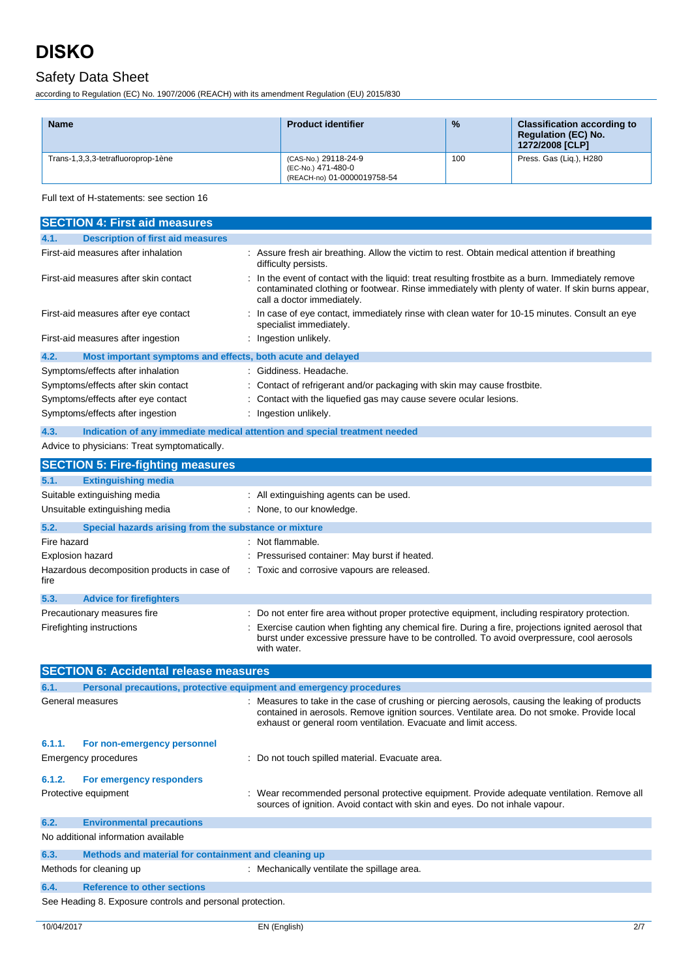## Safety Data Sheet

according to Regulation (EC) No. 1907/2006 (REACH) with its amendment Regulation (EU) 2015/830

| <b>Name</b>                        | <b>Product identifier</b>                                                 | $\frac{9}{6}$ | <b>Classification according to</b><br><b>Regulation (EC) No.</b><br>1272/2008 [CLP] |
|------------------------------------|---------------------------------------------------------------------------|---------------|-------------------------------------------------------------------------------------|
| Trans-1,3,3,3-tetrafluoroprop-1ène | (CAS-No.) 29118-24-9<br>(EC-No.) 471-480-0<br>(REACH-no) 01-0000019758-54 | 100           | Press. Gas (Lig.), H280                                                             |

Full text of H-statements: see section 16

| <b>SECTION 4: First aid measures</b>                                        |                                                                                                                                                                                                                                                                  |  |  |
|-----------------------------------------------------------------------------|------------------------------------------------------------------------------------------------------------------------------------------------------------------------------------------------------------------------------------------------------------------|--|--|
| <b>Description of first aid measures</b><br>4.1.                            |                                                                                                                                                                                                                                                                  |  |  |
| First-aid measures after inhalation                                         | : Assure fresh air breathing. Allow the victim to rest. Obtain medical attention if breathing<br>difficulty persists.                                                                                                                                            |  |  |
| First-aid measures after skin contact                                       | In the event of contact with the liquid: treat resulting frostbite as a burn. Immediately remove<br>contaminated clothing or footwear. Rinse immediately with plenty of water. If skin burns appear,<br>call a doctor immediately.                               |  |  |
| First-aid measures after eye contact                                        | In case of eye contact, immediately rinse with clean water for 10-15 minutes. Consult an eye<br>specialist immediately.                                                                                                                                          |  |  |
| First-aid measures after ingestion                                          | Ingestion unlikely.                                                                                                                                                                                                                                              |  |  |
| 4.2.<br>Most important symptoms and effects, both acute and delayed         |                                                                                                                                                                                                                                                                  |  |  |
| Symptoms/effects after inhalation                                           | Giddiness, Headache,                                                                                                                                                                                                                                             |  |  |
| Symptoms/effects after skin contact                                         | Contact of refrigerant and/or packaging with skin may cause frostbite.                                                                                                                                                                                           |  |  |
| Symptoms/effects after eye contact                                          | Contact with the liquefied gas may cause severe ocular lesions.                                                                                                                                                                                                  |  |  |
| Symptoms/effects after ingestion                                            | Ingestion unlikely.                                                                                                                                                                                                                                              |  |  |
| 4.3.                                                                        | Indication of any immediate medical attention and special treatment needed                                                                                                                                                                                       |  |  |
| Advice to physicians: Treat symptomatically.                                |                                                                                                                                                                                                                                                                  |  |  |
| <b>SECTION 5: Fire-fighting measures</b>                                    |                                                                                                                                                                                                                                                                  |  |  |
| <b>Extinguishing media</b><br>5.1.                                          |                                                                                                                                                                                                                                                                  |  |  |
| Suitable extinguishing media                                                | All extinguishing agents can be used.                                                                                                                                                                                                                            |  |  |
| Unsuitable extinguishing media                                              | None, to our knowledge.                                                                                                                                                                                                                                          |  |  |
| 5.2.<br>Special hazards arising from the substance or mixture               |                                                                                                                                                                                                                                                                  |  |  |
| Fire hazard                                                                 | : Not flammable.                                                                                                                                                                                                                                                 |  |  |
| <b>Explosion hazard</b>                                                     | Pressurised container: May burst if heated.                                                                                                                                                                                                                      |  |  |
| Hazardous decomposition products in case of<br>fire                         | : Toxic and corrosive vapours are released.                                                                                                                                                                                                                      |  |  |
| 5.3.<br><b>Advice for firefighters</b>                                      |                                                                                                                                                                                                                                                                  |  |  |
| Precautionary measures fire                                                 | Do not enter fire area without proper protective equipment, including respiratory protection.                                                                                                                                                                    |  |  |
| Firefighting instructions                                                   | Exercise caution when fighting any chemical fire. During a fire, projections ignited aerosol that<br>burst under excessive pressure have to be controlled. To avoid overpressure, cool aerosols<br>with water.                                                   |  |  |
| <b>SECTION 6: Accidental release measures</b>                               |                                                                                                                                                                                                                                                                  |  |  |
| 6.1.<br>Personal precautions, protective equipment and emergency procedures |                                                                                                                                                                                                                                                                  |  |  |
| General measures                                                            | Measures to take in the case of crushing or piercing aerosols, causing the leaking of products<br>contained in aerosols. Remove ignition sources. Ventilate area. Do not smoke. Provide local<br>exhaust or general room ventilation. Evacuate and limit access. |  |  |
| 6.1.1.<br>For non-emergency personnel                                       |                                                                                                                                                                                                                                                                  |  |  |
| <b>Emergency procedures</b>                                                 | : Do not touch spilled material. Evacuate area.                                                                                                                                                                                                                  |  |  |
| 6.1.2.<br>For emergency responders                                          |                                                                                                                                                                                                                                                                  |  |  |
| Protective equipment                                                        | : Wear recommended personal protective equipment. Provide adequate ventilation. Remove all<br>sources of ignition. Avoid contact with skin and eyes. Do not inhale vapour.                                                                                       |  |  |
| 6.2.<br><b>Environmental precautions</b>                                    |                                                                                                                                                                                                                                                                  |  |  |
| No additional information available                                         |                                                                                                                                                                                                                                                                  |  |  |
| 6.3.<br>Methods and material for containment and cleaning up                |                                                                                                                                                                                                                                                                  |  |  |
| Methods for cleaning up                                                     | : Mechanically ventilate the spillage area.                                                                                                                                                                                                                      |  |  |
| 6.4.<br><b>Reference to other sections</b>                                  |                                                                                                                                                                                                                                                                  |  |  |
|                                                                             |                                                                                                                                                                                                                                                                  |  |  |

See Heading 8. Exposure controls and personal protection.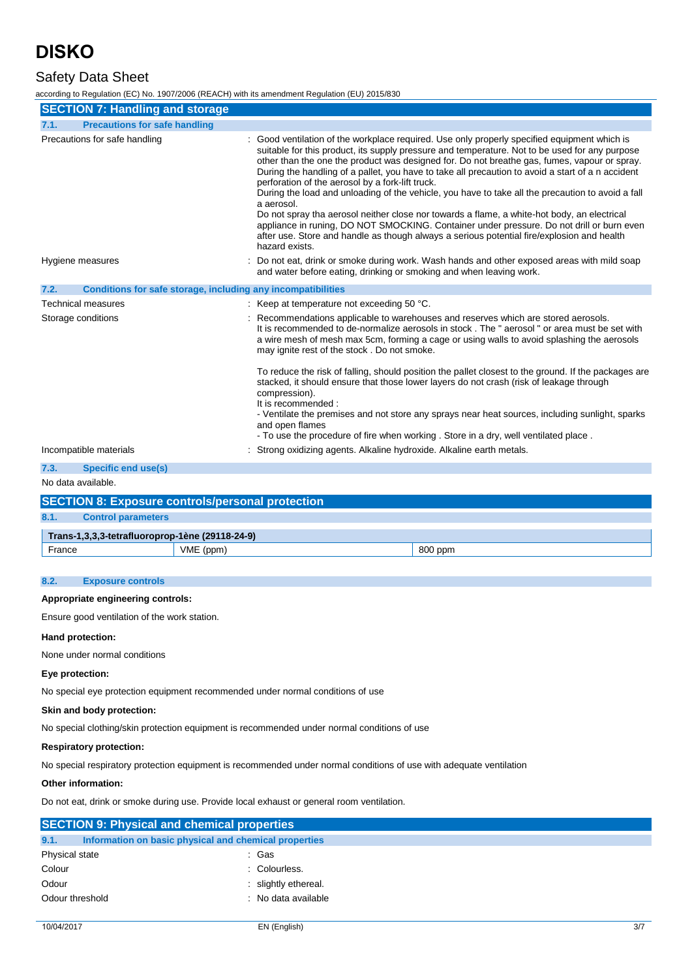## Safety Data Sheet

according to Regulation (EC) No. 1907/2006 (REACH) with its amendment Regulation (EU) 2015/830

| <b>SECTION 7: Handling and storage</b>                               |                                                                                                                                                                                                                                                                                                                                                                                                                                                                                                                                                                                                                                                                                                                                                                                                                                                                                      |  |
|----------------------------------------------------------------------|--------------------------------------------------------------------------------------------------------------------------------------------------------------------------------------------------------------------------------------------------------------------------------------------------------------------------------------------------------------------------------------------------------------------------------------------------------------------------------------------------------------------------------------------------------------------------------------------------------------------------------------------------------------------------------------------------------------------------------------------------------------------------------------------------------------------------------------------------------------------------------------|--|
| <b>Precautions for safe handling</b><br>7.1.                         |                                                                                                                                                                                                                                                                                                                                                                                                                                                                                                                                                                                                                                                                                                                                                                                                                                                                                      |  |
| Precautions for safe handling                                        | Good ventilation of the workplace required. Use only properly specified equipment which is<br>suitable for this product, its supply pressure and temperature. Not to be used for any purpose<br>other than the one the product was designed for. Do not breathe gas, fumes, vapour or spray.<br>During the handling of a pallet, you have to take all precaution to avoid a start of a n accident<br>perforation of the aerosol by a fork-lift truck.<br>During the load and unloading of the vehicle, you have to take all the precaution to avoid a fall<br>a aerosol.<br>Do not spray tha aerosol neither close nor towards a flame, a white-hot body, an electrical<br>appliance in runing, DO NOT SMOCKING. Container under pressure. Do not drill or burn even<br>after use. Store and handle as though always a serious potential fire/explosion and health<br>hazard exists. |  |
| Hygiene measures                                                     | Do not eat, drink or smoke during work. Wash hands and other exposed areas with mild soap<br>and water before eating, drinking or smoking and when leaving work.                                                                                                                                                                                                                                                                                                                                                                                                                                                                                                                                                                                                                                                                                                                     |  |
| Conditions for safe storage, including any incompatibilities<br>7.2. |                                                                                                                                                                                                                                                                                                                                                                                                                                                                                                                                                                                                                                                                                                                                                                                                                                                                                      |  |
| <b>Technical measures</b>                                            | : Keep at temperature not exceeding 50 $^{\circ}$ C.                                                                                                                                                                                                                                                                                                                                                                                                                                                                                                                                                                                                                                                                                                                                                                                                                                 |  |
| Storage conditions                                                   | Recommendations applicable to warehouses and reserves which are stored aerosols.<br>It is recommended to de-normalize aerosols in stock. The " aerosol " or area must be set with<br>a wire mesh of mesh max 5cm, forming a cage or using walls to avoid splashing the aerosols<br>may ignite rest of the stock. Do not smoke.                                                                                                                                                                                                                                                                                                                                                                                                                                                                                                                                                       |  |
|                                                                      | To reduce the risk of falling, should position the pallet closest to the ground. If the packages are<br>stacked, it should ensure that those lower layers do not crash (risk of leakage through<br>compression).<br>It is recommended :                                                                                                                                                                                                                                                                                                                                                                                                                                                                                                                                                                                                                                              |  |
|                                                                      | - Ventilate the premises and not store any sprays near heat sources, including sunlight, sparks<br>and open flames<br>- To use the procedure of fire when working . Store in a dry, well ventilated place.                                                                                                                                                                                                                                                                                                                                                                                                                                                                                                                                                                                                                                                                           |  |
| Incompatible materials                                               | Strong oxidizing agents. Alkaline hydroxide. Alkaline earth metals.                                                                                                                                                                                                                                                                                                                                                                                                                                                                                                                                                                                                                                                                                                                                                                                                                  |  |
| 7.3.<br><b>Specific end use(s)</b>                                   |                                                                                                                                                                                                                                                                                                                                                                                                                                                                                                                                                                                                                                                                                                                                                                                                                                                                                      |  |
| No data available.                                                   |                                                                                                                                                                                                                                                                                                                                                                                                                                                                                                                                                                                                                                                                                                                                                                                                                                                                                      |  |

| <b>SECTION 8: Exposure controls/personal protection</b> |                                                 |  |  |  |  |
|---------------------------------------------------------|-------------------------------------------------|--|--|--|--|
| 8.1.                                                    | <b>Control parameters</b>                       |  |  |  |  |
|                                                         | Trans-1,3,3,3-tetrafluoroprop-1ène (29118-24-9) |  |  |  |  |
| France                                                  | VME (ppm)<br>800 ppm                            |  |  |  |  |

#### **8.2. Exposure controls**

#### **Appropriate engineering controls:**

Ensure good ventilation of the work station.

#### **Hand protection:**

None under normal conditions

#### **Eye protection:**

No special eye protection equipment recommended under normal conditions of use

#### **Skin and body protection:**

No special clothing/skin protection equipment is recommended under normal conditions of use

#### **Respiratory protection:**

No special respiratory protection equipment is recommended under normal conditions of use with adequate ventilation

#### **Other information:**

Do not eat, drink or smoke during use. Provide local exhaust or general room ventilation.

|                 | <b>SECTION 9: Physical and chemical properties</b>    |                      |  |  |  |
|-----------------|-------------------------------------------------------|----------------------|--|--|--|
| 9.1.            | Information on basic physical and chemical properties |                      |  |  |  |
| Physical state  |                                                       | : Gas                |  |  |  |
| Colour          |                                                       | : Colourless.        |  |  |  |
| Odour           |                                                       | : slightly ethereal. |  |  |  |
| Odour threshold |                                                       | : No data available  |  |  |  |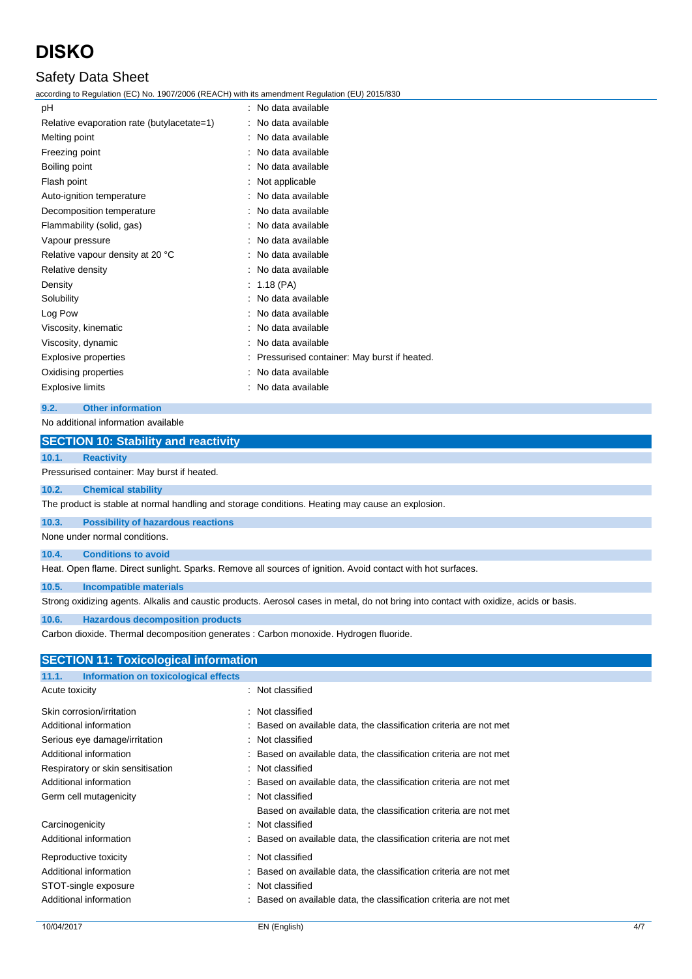## Safety Data Sheet

according to Regulation (EC) No. 1907/2006 (REACH) with its amendment Regulation (EU) 2015/830

| рH                                         | No data available                           |
|--------------------------------------------|---------------------------------------------|
| Relative evaporation rate (butylacetate=1) | No data available                           |
| Melting point                              | No data available                           |
| Freezing point                             | No data available                           |
| Boiling point                              | No data available                           |
| Flash point                                | Not applicable                              |
| Auto-ignition temperature                  | No data available                           |
| Decomposition temperature                  | No data available                           |
| Flammability (solid, gas)                  | : No data available                         |
| Vapour pressure                            | : No data available                         |
| Relative vapour density at 20 °C           | No data available                           |
| Relative density                           | No data available                           |
| Density                                    | $: 1.18$ (PA)                               |
| Solubility                                 | No data available                           |
| Log Pow                                    | : No data available                         |
| Viscosity, kinematic                       | : No data available                         |
| Viscosity, dynamic                         | : No data available                         |
| <b>Explosive properties</b>                | Pressurised container: May burst if heated. |
| Oxidising properties                       | No data available                           |
| <b>Explosive limits</b>                    | No data available                           |
|                                            |                                             |

### **9.2. Other information**

#### No additional information available

#### **SECTION 10: Stability and reactivity**

#### **10.1. Reactivity**

Pressurised container: May burst if heated.

#### **10.2. Chemical stability**

The product is stable at normal handling and storage conditions. Heating may cause an explosion.

#### **10.3. Possibility of hazardous reactions**

None under normal conditions.

#### **10.4. Conditions to avoid**

Heat. Open flame. Direct sunlight. Sparks. Remove all sources of ignition. Avoid contact with hot surfaces.

#### **10.5. Incompatible materials**

Strong oxidizing agents. Alkalis and caustic products. Aerosol cases in metal, do not bring into contact with oxidize, acids or basis.

#### **10.6. Hazardous decomposition products**

Carbon dioxide. Thermal decomposition generates : Carbon monoxide. Hydrogen fluoride.

| <b>SECTION 11: Toxicological information</b>  |                                                                    |
|-----------------------------------------------|--------------------------------------------------------------------|
| Information on toxicological effects<br>11.1. |                                                                    |
| Acute toxicity                                | : Not classified                                                   |
| Skin corrosion/irritation                     | : Not classified                                                   |
| Additional information                        | : Based on available data, the classification criteria are not met |
| Serious eye damage/irritation                 | : Not classified                                                   |
| Additional information                        | : Based on available data, the classification criteria are not met |
| Respiratory or skin sensitisation             | : Not classified                                                   |
| Additional information                        | : Based on available data, the classification criteria are not met |
| Germ cell mutagenicity                        | : Not classified                                                   |
|                                               | Based on available data, the classification criteria are not met   |
| Carcinogenicity                               | : Not classified                                                   |
| Additional information                        | : Based on available data, the classification criteria are not met |
| Reproductive toxicity                         | : Not classified                                                   |
| Additional information                        | Based on available data, the classification criteria are not met   |
| STOT-single exposure                          | : Not classified                                                   |
| Additional information                        | Based on available data, the classification criteria are not met   |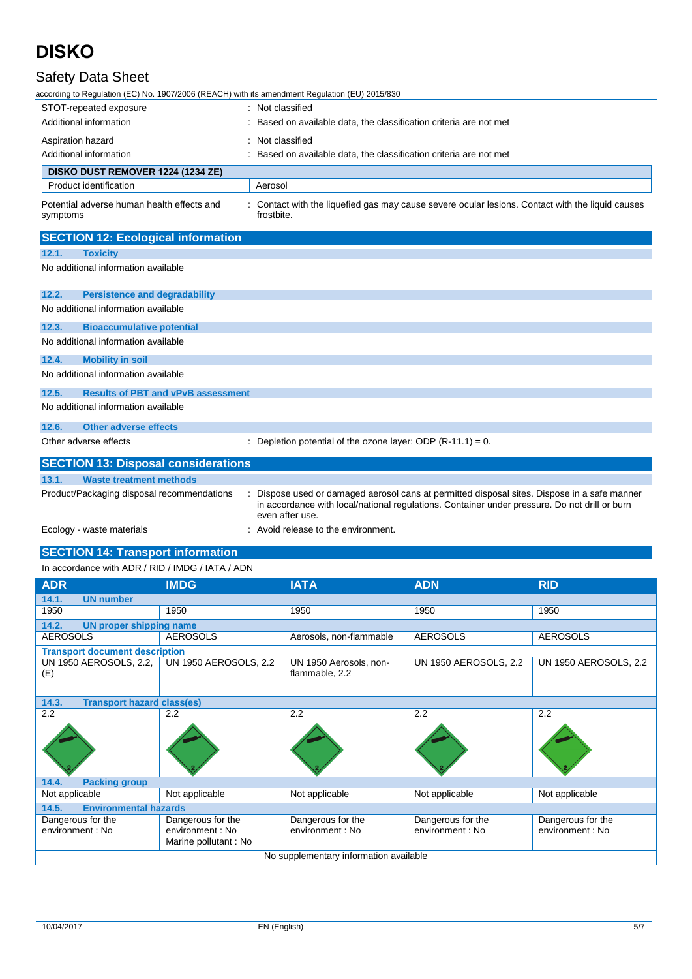## Safety Data Sheet

according to Regulation (EC) No. 1907/2006 (REACH) with its amendment Regulation (EU) 2015/830

| STOT-repeated exposure                                 | Not classified                                                                                               |  |  |  |
|--------------------------------------------------------|--------------------------------------------------------------------------------------------------------------|--|--|--|
| Additional information                                 | Based on available data, the classification criteria are not met                                             |  |  |  |
| Aspiration hazard                                      | Not classified                                                                                               |  |  |  |
| Additional information                                 | Based on available data, the classification criteria are not met                                             |  |  |  |
| DISKO DUST REMOVER 1224 (1234 ZE)                      |                                                                                                              |  |  |  |
| Product identification                                 | Aerosol                                                                                                      |  |  |  |
| Potential adverse human health effects and<br>symptoms | Contact with the liquefied gas may cause severe ocular lesions. Contact with the liquid causes<br>frostbite. |  |  |  |
| <b>SECTION 12: Ecological information</b>              |                                                                                                              |  |  |  |
| 12.1.<br><b>Toxicity</b>                               |                                                                                                              |  |  |  |
| No additional information available                    |                                                                                                              |  |  |  |
| <b>Persistence and degradability</b><br>12.2.          |                                                                                                              |  |  |  |
| No additional information available                    |                                                                                                              |  |  |  |
| 12.3.<br><b>Bioaccumulative potential</b>              |                                                                                                              |  |  |  |
| No additional information available                    |                                                                                                              |  |  |  |
| <b>Mobility in soil</b><br>12.4.                       |                                                                                                              |  |  |  |
| No additional information available                    |                                                                                                              |  |  |  |
| <b>Results of PBT and vPvB assessment</b><br>12.5.     |                                                                                                              |  |  |  |
| No additional information available                    |                                                                                                              |  |  |  |
| Other adverse effects<br>12.6.                         |                                                                                                              |  |  |  |
| Other adverse effects                                  | Depletion potential of the ozone layer: ODP $(R-11.1) = 0$ .                                                 |  |  |  |
|                                                        | <b>CECTION 12: Dienocal conciderations</b>                                                                   |  |  |  |

| <b>SECTION 13: Disposal considerations</b> |                                                                                                                                                                                                                |  |  |  |
|--------------------------------------------|----------------------------------------------------------------------------------------------------------------------------------------------------------------------------------------------------------------|--|--|--|
| 13.1.<br><b>Waste treatment methods</b>    |                                                                                                                                                                                                                |  |  |  |
| Product/Packaging disposal recommendations | Dispose used or damaged aerosol cans at permitted disposal sites. Dispose in a safe manner<br>in accordance with local/national regulations. Container under pressure. Do not drill or burn<br>even after use. |  |  |  |
| Ecology - waste materials                  | Avoid release to the environment.                                                                                                                                                                              |  |  |  |

### **SECTION 14: Transport information** In accordance with ADR / RID / IMDG / IATA / ADN

| <b>ADR</b>                                 | <b>IMDG</b>                                                   | <b>IATA</b>                              | <b>ADN</b>                            | <b>RID</b>                            |  |  |
|--------------------------------------------|---------------------------------------------------------------|------------------------------------------|---------------------------------------|---------------------------------------|--|--|
| 14.1.<br><b>UN number</b>                  |                                                               |                                          |                                       |                                       |  |  |
| 1950                                       | 1950                                                          | 1950                                     | 1950                                  | 1950                                  |  |  |
| 14.2.<br><b>UN proper shipping name</b>    |                                                               |                                          |                                       |                                       |  |  |
| <b>AEROSOLS</b>                            | <b>AEROSOLS</b>                                               | Aerosols, non-flammable                  | <b>AEROSOLS</b>                       | <b>AEROSOLS</b>                       |  |  |
| <b>Transport document description</b>      |                                                               |                                          |                                       |                                       |  |  |
| UN 1950 AEROSOLS, 2.2,<br>(E)              | <b>UN 1950 AEROSOLS, 2.2</b>                                  | UN 1950 Aerosols, non-<br>flammable, 2.2 | <b>UN 1950 AEROSOLS, 2.2</b>          | <b>UN 1950 AEROSOLS, 2.2</b>          |  |  |
| 14.3.<br><b>Transport hazard class(es)</b> |                                                               |                                          |                                       |                                       |  |  |
| 2.2                                        | $2.2^{\circ}$                                                 | 2.2                                      | 2.2                                   | 2.2                                   |  |  |
|                                            |                                                               |                                          |                                       |                                       |  |  |
| <b>Packing group</b><br>14.4.              |                                                               |                                          |                                       |                                       |  |  |
| Not applicable                             | Not applicable                                                | Not applicable                           | Not applicable                        | Not applicable                        |  |  |
| <b>Environmental hazards</b><br>14.5.      |                                                               |                                          |                                       |                                       |  |  |
| Dangerous for the<br>environment : No      | Dangerous for the<br>environment : No<br>Marine pollutant: No | Dangerous for the<br>environment : No    | Dangerous for the<br>environment : No | Dangerous for the<br>environment : No |  |  |
| No supplementary information available     |                                                               |                                          |                                       |                                       |  |  |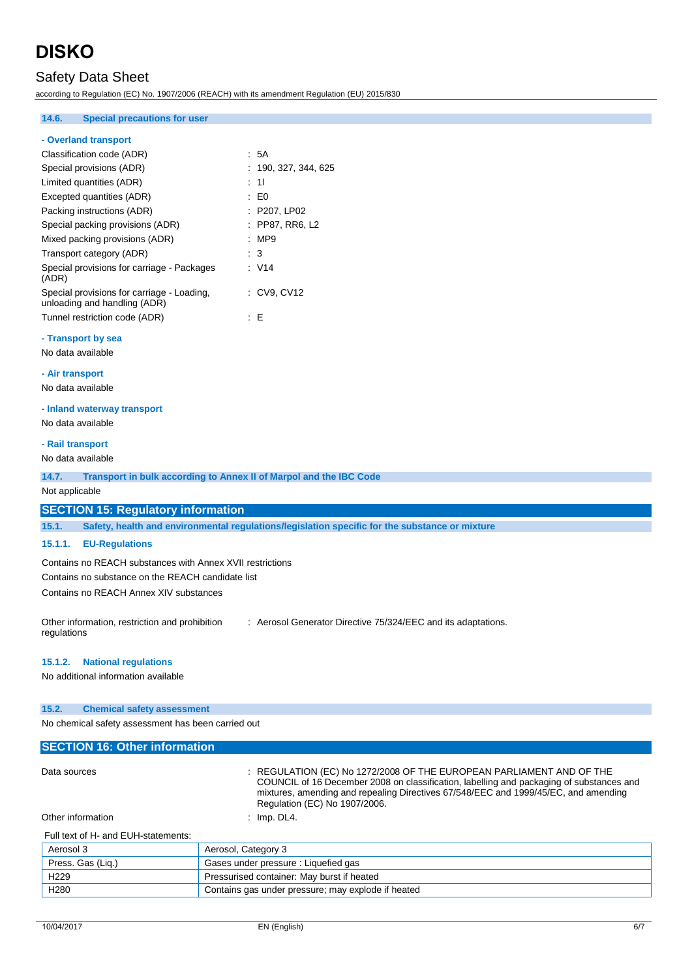## Safety Data Sheet

according to Regulation (EC) No. 1907/2006 (REACH) with its amendment Regulation (EU) 2015/830

### **14.6. Special precautions for user**

### **- Overland transport**

| Classification code (ADR)                                                  | : 5A              |
|----------------------------------------------------------------------------|-------------------|
| Special provisions (ADR)                                                   | : 190.327.344.625 |
| Limited quantities (ADR)                                                   | : 11              |
| Excepted quantities (ADR)                                                  | : E0              |
| Packing instructions (ADR)                                                 | $:$ P207. LP02    |
| Special packing provisions (ADR)                                           | : PP87. RR6. L2   |
| Mixed packing provisions (ADR)                                             | :MP9              |
| Transport category (ADR)                                                   | $\cdot$ 3         |
| Special provisions for carriage - Packages<br>(ADR)                        | : V14             |
| Special provisions for carriage - Loading,<br>unloading and handling (ADR) | : CV9, CV12       |
| Tunnel restriction code (ADR)                                              | - F               |

### **- Transport by sea**

No data available

#### **- Air transport**

No data available

## **- Inland waterway transport**

No data available

### **- Rail transport**

No data available

**14.7. Transport in bulk according to Annex II of Marpol and the IBC Code**

Not applicable

#### **SECTION 15: Regulatory information**

**15.1. Safety, health and environmental regulations/legislation specific for the substance or mixture**

### **15.1.1. EU-Regulations**

Contains no REACH substances with Annex XVII restrictions Contains no substance on the REACH candidate list Contains no REACH Annex XIV substances

Other information, restriction and prohibition regulations : Aerosol Generator Directive 75/324/EEC and its adaptations.

#### **15.1.2. National regulations**

No additional information available

#### **15.2. Chemical safety assessment**

No chemical safety assessment has been carried out

## **SECTION 16: Other information** Data sources : REGULATION (EC) No 1272/2008 OF THE EUROPEAN PARLIAMENT AND OF THE COUNCIL of 16 December 2008 on classification, labelling and packaging of substances and mixtures, amending and repealing Directives 67/548/EEC and 1999/45/EC, and amending Regulation (EC) No 1907/2006. Other information : Imp. DL4. Full text of H- and EUH-statements: Aerosol 3 Aerosol, Category 3

| Aerosor 3         | Aerosol, Galegory 3                                |
|-------------------|----------------------------------------------------|
| Press. Gas (Lig.) | Gases under pressure : Liquefied gas               |
| H <sub>229</sub>  | Pressurised container: May burst if heated         |
| H <sub>280</sub>  | Contains gas under pressure; may explode if heated |